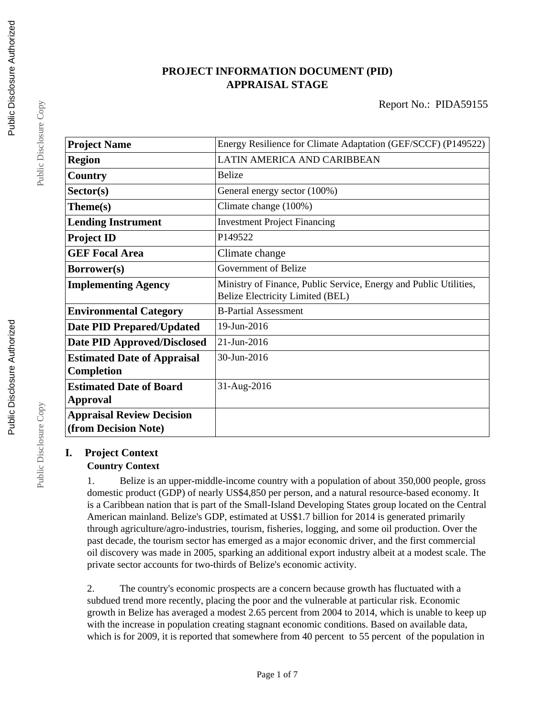# **PROJECT INFORMATION DOCUMENT (PID) APPRAISAL STAGE**

| <b>Project Name</b>                | Energy Resilience for Climate Adaptation (GEF/SCCF) (P149522)                                         |
|------------------------------------|-------------------------------------------------------------------------------------------------------|
| <b>Region</b>                      | LATIN AMERICA AND CARIBBEAN                                                                           |
| Country                            | <b>Belize</b>                                                                                         |
| Sector(s)                          | General energy sector (100%)                                                                          |
| Theme(s)                           | Climate change (100%)                                                                                 |
| <b>Lending Instrument</b>          | <b>Investment Project Financing</b>                                                                   |
| <b>Project ID</b>                  | P149522                                                                                               |
| <b>GEF Focal Area</b>              | Climate change                                                                                        |
| Borrower(s)                        | Government of Belize                                                                                  |
| <b>Implementing Agency</b>         | Ministry of Finance, Public Service, Energy and Public Utilities,<br>Belize Electricity Limited (BEL) |
| <b>Environmental Category</b>      | <b>B-Partial Assessment</b>                                                                           |
| <b>Date PID Prepared/Updated</b>   | 19-Jun-2016                                                                                           |
| <b>Date PID Approved/Disclosed</b> | 21-Jun-2016                                                                                           |
| <b>Estimated Date of Appraisal</b> | 30-Jun-2016                                                                                           |
| Completion                         |                                                                                                       |
| <b>Estimated Date of Board</b>     | 31-Aug-2016                                                                                           |
| Approval                           |                                                                                                       |
| <b>Appraisal Review Decision</b>   |                                                                                                       |
| (from Decision Note)               |                                                                                                       |

# **I. Project Context**

# **Country Context**

1. Belize is an upper-middle-income country with a population of about 350,000 people, gross domestic product (GDP) of nearly US\$4,850 per person, and a natural resource-based economy. It is a Caribbean nation that is part of the Small-Island Developing States group located on the Central American mainland. Belize's GDP, estimated at US\$1.7 billion for 2014 is generated primarily through agriculture/agro-industries, tourism, fisheries, logging, and some oil production. Over the past decade, the tourism sector has emerged as a major economic driver, and the first commercial oil discovery was made in 2005, sparking an additional export industry albeit at a modest scale. The private sector accounts for two-thirds of Belize's economic activity.

2. The country's economic prospects are a concern because growth has fluctuated with a subdued trend more recently, placing the poor and the vulnerable at particular risk. Economic growth in Belize has averaged a modest 2.65 percent from 2004 to 2014, which is unable to keep up with the increase in population creating stagnant economic conditions. Based on available data, which is for 2009, it is reported that somewhere from 40 percent to 55 percent of the population in

Public Disclosure Copy

Public Disclosure Copy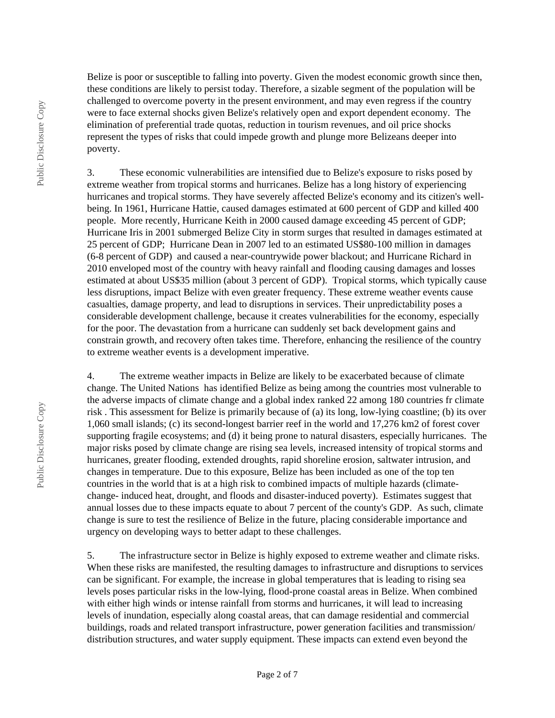Belize is poor or susceptible to falling into poverty. Given the modest economic growth since then, these conditions are likely to persist today. Therefore, a sizable segment of the population will be challenged to overcome poverty in the present environment, and may even regress if the country were to face external shocks given Belize's relatively open and export dependent economy. The elimination of preferential trade quotas, reduction in tourism revenues, and oil price shocks represent the types of risks that could impede growth and plunge more Belizeans deeper into poverty.

3. These economic vulnerabilities are intensified due to Belize's exposure to risks posed by extreme weather from tropical storms and hurricanes. Belize has a long history of experiencing hurricanes and tropical storms. They have severely affected Belize's economy and its citizen's wellbeing. In 1961, Hurricane Hattie, caused damages estimated at 600 percent of GDP and killed 400 people. More recently, Hurricane Keith in 2000 caused damage exceeding 45 percent of GDP; Hurricane Iris in 2001 submerged Belize City in storm surges that resulted in damages estimated at 25 percent of GDP; Hurricane Dean in 2007 led to an estimated US\$80-100 million in damages (6-8 percent of GDP) and caused a near-countrywide power blackout; and Hurricane Richard in 2010 enveloped most of the country with heavy rainfall and flooding causing damages and losses estimated at about US\$35 million (about 3 percent of GDP). Tropical storms, which typically cause less disruptions, impact Belize with even greater frequency. These extreme weather events cause casualties, damage property, and lead to disruptions in services. Their unpredictability poses a considerable development challenge, because it creates vulnerabilities for the economy, especially for the poor. The devastation from a hurricane can suddenly set back development gains and constrain growth, and recovery often takes time. Therefore, enhancing the resilience of the country to extreme weather events is a development imperative.

4. The extreme weather impacts in Belize are likely to be exacerbated because of climate change. The United Nations has identified Belize as being among the countries most vulnerable to the adverse impacts of climate change and a global index ranked 22 among 180 countries fr climate risk . This assessment for Belize is primarily because of (a) its long, low-lying coastline; (b) its over 1,060 small islands; (c) its second-longest barrier reef in the world and 17,276 km2 of forest cover supporting fragile ecosystems; and (d) it being prone to natural disasters, especially hurricanes. The major risks posed by climate change are rising sea levels, increased intensity of tropical storms and hurricanes, greater flooding, extended droughts, rapid shoreline erosion, saltwater intrusion, and changes in temperature. Due to this exposure, Belize has been included as one of the top ten countries in the world that is at a high risk to combined impacts of multiple hazards (climatechange- induced heat, drought, and floods and disaster-induced poverty). Estimates suggest that annual losses due to these impacts equate to about 7 percent of the county's GDP. As such, climate change is sure to test the resilience of Belize in the future, placing considerable importance and urgency on developing ways to better adapt to these challenges.

5. The infrastructure sector in Belize is highly exposed to extreme weather and climate risks. When these risks are manifested, the resulting damages to infrastructure and disruptions to services can be significant. For example, the increase in global temperatures that is leading to rising sea levels poses particular risks in the low-lying, flood-prone coastal areas in Belize. When combined with either high winds or intense rainfall from storms and hurricanes, it will lead to increasing levels of inundation, especially along coastal areas, that can damage residential and commercial buildings, roads and related transport infrastructure, power generation facilities and transmission/ distribution structures, and water supply equipment. These impacts can extend even beyond the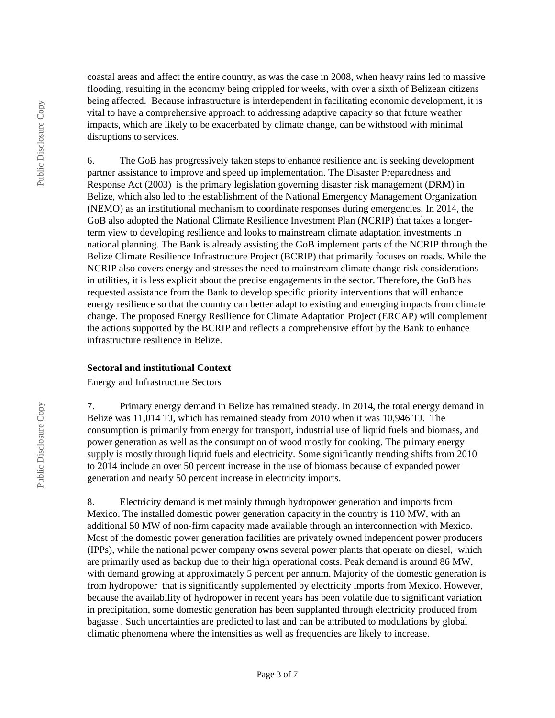coastal areas and affect the entire country, as was the case in 2008, when heavy rains led to massive flooding, resulting in the economy being crippled for weeks, with over a sixth of Belizean citizens being affected. Because infrastructure is interdependent in facilitating economic development, it is vital to have a comprehensive approach to addressing adaptive capacity so that future weather impacts, which are likely to be exacerbated by climate change, can be withstood with minimal disruptions to services.

6. The GoB has progressively taken steps to enhance resilience and is seeking development partner assistance to improve and speed up implementation. The Disaster Preparedness and Response Act (2003) is the primary legislation governing disaster risk management (DRM) in Belize, which also led to the establishment of the National Emergency Management Organization (NEMO) as an institutional mechanism to coordinate responses during emergencies. In 2014, the GoB also adopted the National Climate Resilience Investment Plan (NCRIP) that takes a longerterm view to developing resilience and looks to mainstream climate adaptation investments in national planning. The Bank is already assisting the GoB implement parts of the NCRIP through the Belize Climate Resilience Infrastructure Project (BCRIP) that primarily focuses on roads. While the NCRIP also covers energy and stresses the need to mainstream climate change risk considerations in utilities, it is less explicit about the precise engagements in the sector. Therefore, the GoB has requested assistance from the Bank to develop specific priority interventions that will enhance energy resilience so that the country can better adapt to existing and emerging impacts from climate change. The proposed Energy Resilience for Climate Adaptation Project (ERCAP) will complement the actions supported by the BCRIP and reflects a comprehensive effort by the Bank to enhance infrastructure resilience in Belize.

## **Sectoral and institutional Context**

Energy and Infrastructure Sectors

7. Primary energy demand in Belize has remained steady. In 2014, the total energy demand in Belize was 11,014 TJ, which has remained steady from 2010 when it was 10,946 TJ. The consumption is primarily from energy for transport, industrial use of liquid fuels and biomass, and power generation as well as the consumption of wood mostly for cooking. The primary energy supply is mostly through liquid fuels and electricity. Some significantly trending shifts from 2010 to 2014 include an over 50 percent increase in the use of biomass because of expanded power generation and nearly 50 percent increase in electricity imports.

8. Electricity demand is met mainly through hydropower generation and imports from Mexico. The installed domestic power generation capacity in the country is 110 MW, with an additional 50 MW of non-firm capacity made available through an interconnection with Mexico. Most of the domestic power generation facilities are privately owned independent power producers (IPPs), while the national power company owns several power plants that operate on diesel, which are primarily used as backup due to their high operational costs. Peak demand is around 86 MW, with demand growing at approximately 5 percent per annum. Majority of the domestic generation is from hydropower that is significantly supplemented by electricity imports from Mexico. However, because the availability of hydropower in recent years has been volatile due to significant variation in precipitation, some domestic generation has been supplanted through electricity produced from bagasse . Such uncertainties are predicted to last and can be attributed to modulations by global climatic phenomena where the intensities as well as frequencies are likely to increase.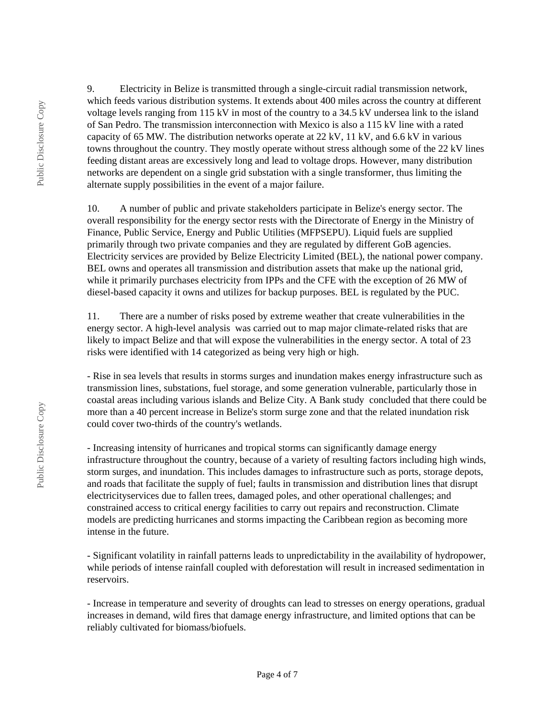9. Electricity in Belize is transmitted through a single-circuit radial transmission network, which feeds various distribution systems. It extends about 400 miles across the country at different voltage levels ranging from 115 kV in most of the country to a 34.5 kV undersea link to the island of San Pedro. The transmission interconnection with Mexico is also a 115 kV line with a rated capacity of 65 MW. The distribution networks operate at 22 kV, 11 kV, and 6.6 kV in various towns throughout the country. They mostly operate without stress although some of the 22 kV lines feeding distant areas are excessively long and lead to voltage drops. However, many distribution networks are dependent on a single grid substation with a single transformer, thus limiting the alternate supply possibilities in the event of a major failure.

10. A number of public and private stakeholders participate in Belize's energy sector. The overall responsibility for the energy sector rests with the Directorate of Energy in the Ministry of Finance, Public Service, Energy and Public Utilities (MFPSEPU). Liquid fuels are supplied primarily through two private companies and they are regulated by different GoB agencies. Electricity services are provided by Belize Electricity Limited (BEL), the national power company. BEL owns and operates all transmission and distribution assets that make up the national grid, while it primarily purchases electricity from IPPs and the CFE with the exception of 26 MW of diesel-based capacity it owns and utilizes for backup purposes. BEL is regulated by the PUC.

11. There are a number of risks posed by extreme weather that create vulnerabilities in the energy sector. A high-level analysis was carried out to map major climate-related risks that are likely to impact Belize and that will expose the vulnerabilities in the energy sector. A total of 23 risks were identified with 14 categorized as being very high or high.

- Rise in sea levels that results in storms surges and inundation makes energy infrastructure such as transmission lines, substations, fuel storage, and some generation vulnerable, particularly those in coastal areas including various islands and Belize City. A Bank study concluded that there could be more than a 40 percent increase in Belize's storm surge zone and that the related inundation risk could cover two-thirds of the country's wetlands.

- Increasing intensity of hurricanes and tropical storms can significantly damage energy infrastructure throughout the country, because of a variety of resulting factors including high winds, storm surges, and inundation. This includes damages to infrastructure such as ports, storage depots, and roads that facilitate the supply of fuel; faults in transmission and distribution lines that disrupt electricityservices due to fallen trees, damaged poles, and other operational challenges; and constrained access to critical energy facilities to carry out repairs and reconstruction. Climate models are predicting hurricanes and storms impacting the Caribbean region as becoming more intense in the future.

- Significant volatility in rainfall patterns leads to unpredictability in the availability of hydropower, while periods of intense rainfall coupled with deforestation will result in increased sedimentation in reservoirs.

- Increase in temperature and severity of droughts can lead to stresses on energy operations, gradual increases in demand, wild fires that damage energy infrastructure, and limited options that can be reliably cultivated for biomass/biofuels.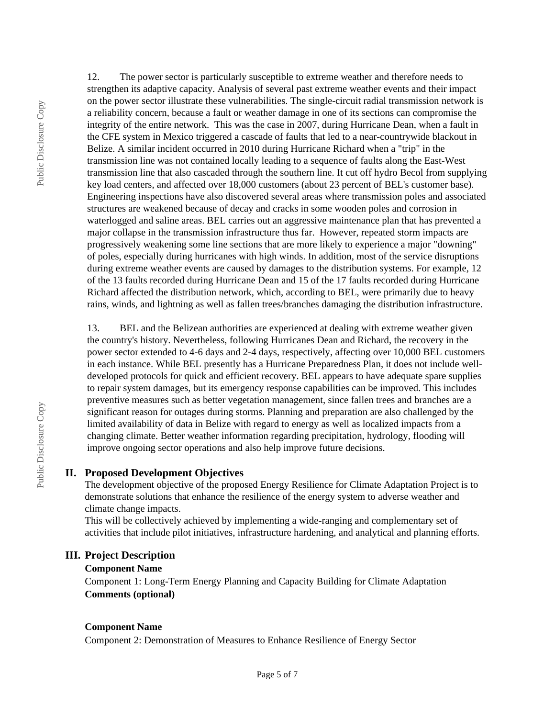12. The power sector is particularly susceptible to extreme weather and therefore needs to strengthen its adaptive capacity. Analysis of several past extreme weather events and their impact on the power sector illustrate these vulnerabilities. The single-circuit radial transmission network is a reliability concern, because a fault or weather damage in one of its sections can compromise the integrity of the entire network. This was the case in 2007, during Hurricane Dean, when a fault in the CFE system in Mexico triggered a cascade of faults that led to a near-countrywide blackout in Belize. A similar incident occurred in 2010 during Hurricane Richard when a "trip" in the transmission line was not contained locally leading to a sequence of faults along the East-West transmission line that also cascaded through the southern line. It cut off hydro Becol from supplying key load centers, and affected over 18,000 customers (about 23 percent of BEL's customer base). Engineering inspections have also discovered several areas where transmission poles and associated structures are weakened because of decay and cracks in some wooden poles and corrosion in waterlogged and saline areas. BEL carries out an aggressive maintenance plan that has prevented a major collapse in the transmission infrastructure thus far. However, repeated storm impacts are progressively weakening some line sections that are more likely to experience a major "downing" of poles, especially during hurricanes with high winds. In addition, most of the service disruptions during extreme weather events are caused by damages to the distribution systems. For example, 12 of the 13 faults recorded during Hurricane Dean and 15 of the 17 faults recorded during Hurricane Richard affected the distribution network, which, according to BEL, were primarily due to heavy rains, winds, and lightning as well as fallen trees/branches damaging the distribution infrastructure.

13. BEL and the Belizean authorities are experienced at dealing with extreme weather given the country's history. Nevertheless, following Hurricanes Dean and Richard, the recovery in the power sector extended to 4-6 days and 2-4 days, respectively, affecting over 10,000 BEL customers in each instance. While BEL presently has a Hurricane Preparedness Plan, it does not include welldeveloped protocols for quick and efficient recovery. BEL appears to have adequate spare supplies to repair system damages, but its emergency response capabilities can be improved. This includes preventive measures such as better vegetation management, since fallen trees and branches are a significant reason for outages during storms. Planning and preparation are also challenged by the limited availability of data in Belize with regard to energy as well as localized impacts from a changing climate. Better weather information regarding precipitation, hydrology, flooding will improve ongoing sector operations and also help improve future decisions.

## **II. Proposed Development Objectives**

The development objective of the proposed Energy Resilience for Climate Adaptation Project is to demonstrate solutions that enhance the resilience of the energy system to adverse weather and climate change impacts.

This will be collectively achieved by implementing a wide-ranging and complementary set of activities that include pilot initiatives, infrastructure hardening, and analytical and planning efforts.

## **III. Project Description**

## **Component Name**

Component 1: Long-Term Energy Planning and Capacity Building for Climate Adaptation **Comments (optional)**

## **Component Name**

Component 2: Demonstration of Measures to Enhance Resilience of Energy Sector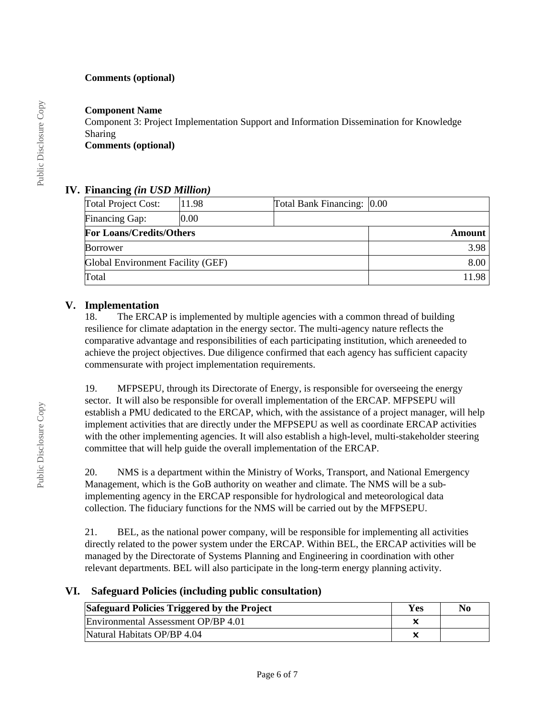## **Comments (optional)**

## **Component Name**

Component 3: Project Implementation Support and Information Dissemination for Knowledge Sharing

# **Comments (optional)**

# **IV. Financing** *(in USD Million)*

| <b>Total Project Cost:</b>        | 11.98 | Total Bank Financing: 0.00 |        |
|-----------------------------------|-------|----------------------------|--------|
| Financing Gap:                    | 10.00 |                            |        |
| <b>For Loans/Credits/Others</b>   |       |                            | Amount |
| Borrower                          |       |                            | 3.98   |
| Global Environment Facility (GEF) |       |                            | 8.00   |
| Total                             |       |                            | 1198   |

# **V. Implementation**

18. The ERCAP is implemented by multiple agencies with a common thread of building resilience for climate adaptation in the energy sector. The multi-agency nature reflects the comparative advantage and responsibilities of each participating institution, which areneeded to achieve the project objectives. Due diligence confirmed that each agency has sufficient capacity commensurate with project implementation requirements.

19. MFPSEPU, through its Directorate of Energy, is responsible for overseeing the energy sector. It will also be responsible for overall implementation of the ERCAP. MFPSEPU will establish a PMU dedicated to the ERCAP, which, with the assistance of a project manager, will help implement activities that are directly under the MFPSEPU as well as coordinate ERCAP activities with the other implementing agencies. It will also establish a high-level, multi-stakeholder steering committee that will help guide the overall implementation of the ERCAP.

20. NMS is a department within the Ministry of Works, Transport, and National Emergency Management, which is the GoB authority on weather and climate. The NMS will be a subimplementing agency in the ERCAP responsible for hydrological and meteorological data collection. The fiduciary functions for the NMS will be carried out by the MFPSEPU.

21. BEL, as the national power company, will be responsible for implementing all activities directly related to the power system under the ERCAP. Within BEL, the ERCAP activities will be managed by the Directorate of Systems Planning and Engineering in coordination with other relevant departments. BEL will also participate in the long-term energy planning activity.

## **VI. Safeguard Policies (including public consultation)**

| Safeguard Policies Triggered by the Project | Yes | No |
|---------------------------------------------|-----|----|
| Environmental Assessment OP/BP 4.01         |     |    |
| Natural Habitats OP/BP 4.04                 |     |    |